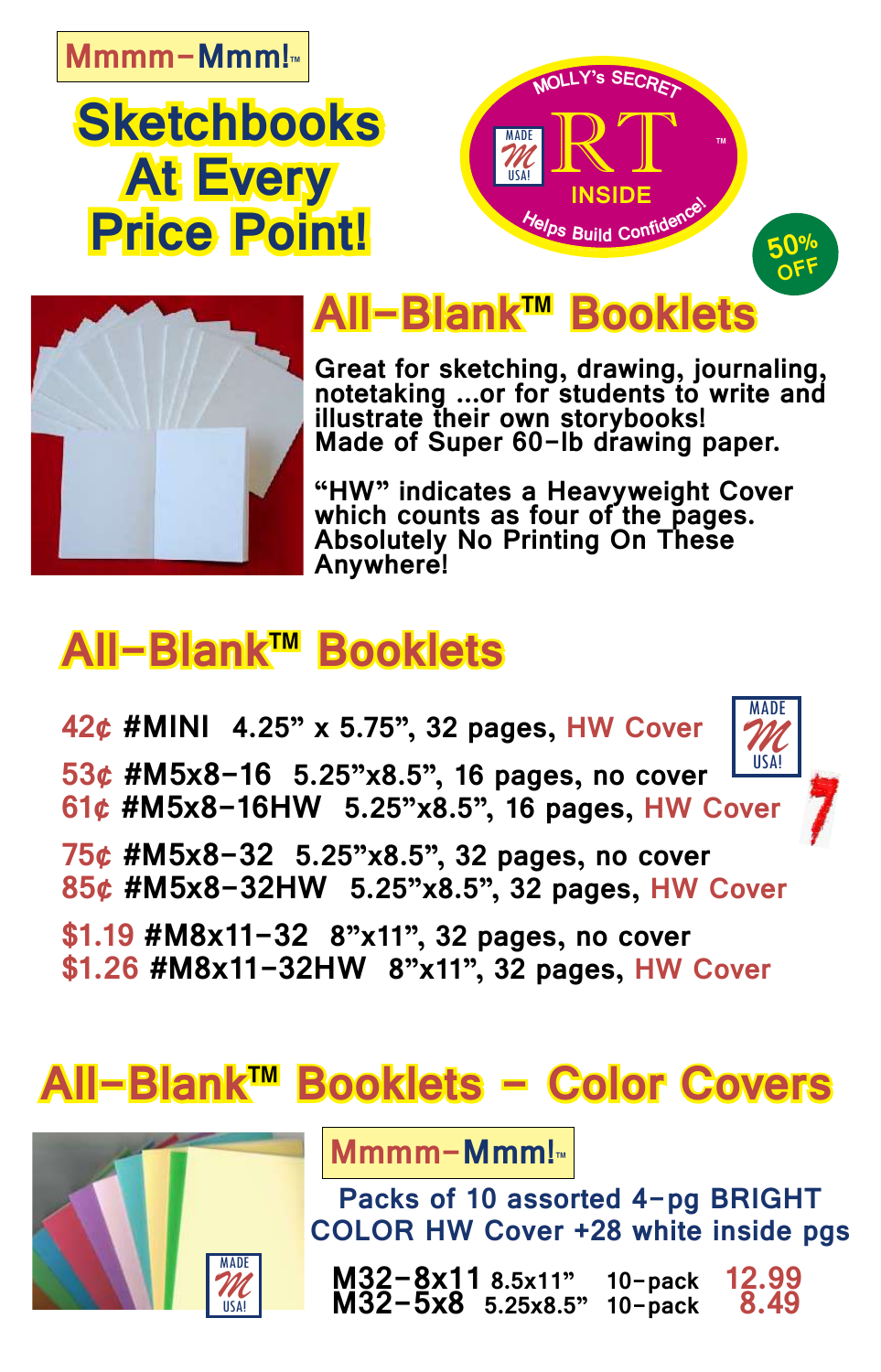#### **Mmmm-Mmm!™**

## **Sketchbooks At Every Price Point!**





### **All-Blank™ Booklets**

**Great for sketching, drawing, journaling, notetaking ...or for students to write and illustrate their own storybooks! Made of Super 60-lb drawing paper.** 

**"HW" indicates a Heavyweight Cover which counts as four of the pages. Absolutely No Printing On These Anywhere!**

### **All-Blank™ Booklets**

**42¢ #MINI 4.25" x 5.75", 32 pages, HW Cover**

**53¢ #M5x8-16 5.25"x8.5", 16 pages, no cover 61¢ #M5x8-16HW 5.25"x8.5", 16 pages, HW Cover**



- **75¢ #M5x8-32 5.25"x8.5", 32 pages, no cover 85¢ #M5x8-32HW 5.25"x8.5", 32 pages, HW Cover**
- **\$1.19 #M8x11-32 8"x11", 32 pages, no cover \$1.26 #M8x11-32HW 8"x11", 32 pages, HW Cover**

## **All-Blank™ Booklets - Color Covers**



**Mmmm-Mmm!™**

**Packs of 10 assorted 4-pg BRIGHT COLOR HW Cover +28 white inside pgs**

 **M32-8x11 8.5x11" 10-pack 12.99 M32-5x8 5.25x8.5" 10-pack 8.49**